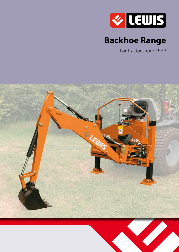

# **Backhoe Range**

For Tractors from 15HP

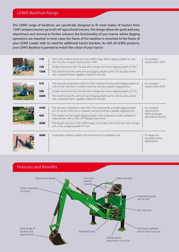### LEWIS Backhoe Range

The LEWIS range of backhoes are specifically designed to fit most makes of tractors from 15HP compact tractors up to 60+HP agricultural tractors. The design allows for quick and easy attachment and removal to further enhance the functionality of your tractor where digging operations are required. In most cases the frame of the backhoe is mounted to the frame of your LEWIS Loader with no need for additional tractor brackets. As with all LEWIS products, your LEWIS Backhoe is painted to match the colour of your tractor.

|  | 110         | This is the smallest backhoe in the LEWIS range. With a digging depth of 1.9m,<br>the 110 is for compact tractors from 15HP      | For compact<br>tractors from 15HP |
|--|-------------|----------------------------------------------------------------------------------------------------------------------------------|-----------------------------------|
|  | 120         | Similar machine to the 110, but with a longer arm and a digging depth of 2.4m                                                    |                                   |
|  | <b>120S</b> | This machine has the same arm and digging depth as the 120, but also comes<br>with a sideshift frame capable of 620mm of travel. |                                   |

|  | 310         | The next size of backhoe is the 310. This machine has the same digging depth of<br>2.4m as the 120, but is a heavier machine and has a greater digging force. | For compact<br>tractors from 25HP |
|--|-------------|---------------------------------------------------------------------------------------------------------------------------------------------------------------|-----------------------------------|
|  | 320         | Similar machine to the 210, but with a longer arm and a digging depth of 2.7m                                                                                 |                                   |
|  | <b>320S</b> | This machine has the same arm and digging depth as the 220, but also comes<br>with a sideshift frame capable of 830mm of travel.                              |                                   |

|  | 410S        | The next size of backhoe is the 410S. This machine has a similar digging depth<br>of 2.7m as the 320S, but is a heavier machine and has a greater digging force. | For compact<br>tractors from             |
|--|-------------|------------------------------------------------------------------------------------------------------------------------------------------------------------------|------------------------------------------|
|  | 420         | This model has the largest digging depth in the range and is only available for<br>large tractors with a CAT2 3PT linkage attachment.                            | 40HP and larger<br>agricultural tractors |
|  | <b>420S</b> | The largest machine in the LEWIS range, it is similar to the 410S, but with a longer<br>arm, it has a digging depth of 3.2m.                                     |                                          |



| 430S | A specialist machine suited to fit on the front of a skidsteer unit. | For large and<br>specialist tractor<br>applications |
|------|----------------------------------------------------------------------|-----------------------------------------------------|

### Features and Benefits

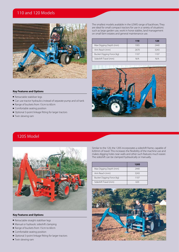### 110 and 120 Models



**Key Features and Options**

- $\blacksquare$  Retractable stabiliser legs
- Can use tractor hydraulics instead of separate pump and oil tank
- Range of buckets from 15cm to 60cm
- $\blacksquare$  Comfortable seating position
- Optional 3-point linkage fitting for larger tractors
- $\blacksquare$  Twin slewing ram

The smallest models available in the LEWIS range of backhoes. They are ideal for small compact tractors for use in a variety of situations such as large garden use, work in horse stables, land management on small farm estates and general maintenance use.

|                           | 110  | 120  |
|---------------------------|------|------|
| Max Digging Depth (mm)    | 1905 | 2440 |
| Arm Reach (mm)            | 2670 | 3243 |
| Bucket Digging Force (kg) | 1107 | 1107 |
| Sideshift Travel (mm)     | N/A  | N/A  |



### 120S Model



#### **Key Features and Options**

- $\blacksquare$  Retractable straight stabiliser legs
- $\blacksquare$  Manual or hydraulic sideshift clamping
- Range of buckets from 15cm to 60cm
- $\blacksquare$  Comfortable seating position
- Optional 3-point linkage fitting for larger tractors
- $\blacksquare$  Twin slewing ram

Similar to the 120, the 120S incorporates a sideshift frame, capable of 620mm of travel. This increases the flexibility of the machine use and makes digging holes near walls and other such features much easier. The sideshift can be clamped hydraulically or manually.

|                           | <b>120S</b> |
|---------------------------|-------------|
| Max Digging Depth (mm)    | 2440        |
| Arm Reach (mm)            | 3243        |
| Bucket Digging Force (kg) | 1107        |
| Sideshift Travel (mm)     |             |

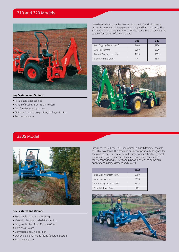### 310 and 320 Models



#### **Key Features and Options**

- $\blacksquare$  Retractable stabiliser legs
- Range of buckets from 15cm to 60cm
- $\blacksquare$  Comfortable seating position
- Optional 3-point linkage fitting for larger tractors
- $\blacksquare$  Twin slewing ram

More heavily built than the 110 and 120, the 310 and 320 have a larger diameter ram giving greater digging and lifting capacity. The 320 version has a longer arm for extended reach. These machines are suitable for tractors of 25HP and over.

|                           | 310  | 320  |
|---------------------------|------|------|
| Max Digging Depth (mm)    | 2440 | 2750 |
| Arm Reach (mm)            | 3280 | 3570 |
| Bucket Digging Force (Kg) | 1655 | 1655 |
| Sideshift Travel (mm)     | N/A  | N/A  |



### 320S Model



#### **Key Features and Options**

- $\blacksquare$  Retractable straight stabiliser legs
- $\blacksquare$  Manual or hydraulic sideshift clamping
- Range of buckets from 15cm to 60cm
- $\blacksquare$  1.4m chasis width
- $\blacksquare$  Comfortable seating position
- Optional 3-point linkage fitting for larger tractors
- $\blacksquare$  Twin slewing ram

Similar to the 320, the 320S incorporates a sideshift frame, capable of 830 mm of travel. This machine has been specifically designed for the professional user on medium to large compact tractors. Typical uses include golf course maintenance, cemetary work, roadside maintenance, laying services and pipework as well as numerous applications in large gardens and estates

|                           | <b>320S</b> |
|---------------------------|-------------|
| Max Digging Depth (mm)    | 2750        |
| Arm Reach (mm)            | 3570        |
| Bucket Digging Force (Kg) | 1655        |
| Sideshift Travel (mm)     | 830         |

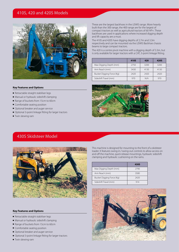### 410S, 420 and 420S Models



These are the largest backhoes in the LEWIS range. More heavily built than the 300 range, the 400 range are for the largest of compact tractors as well as agricultural tractors of 60 HP+. These backhoes are used in applications where increased digging depth and lift capacity are a must.

The 410S and 420S have digging depths of 2.7m and 3.3m respectively and can be mounted via the LEWIS Backhoe chassis beams to large compact tractors.

The 420 is a centre pivot machine with a digging depth of 3.3m, but is only available for larger tractors with a CAT, 3-point linkage fitting.

|                           | 410S | 420  | 420S |
|---------------------------|------|------|------|
| Max Digging Depth (mm)    | 2750 | 3200 | 3200 |
| Arm Reach (mm)            | 3430 | 4130 | 4130 |
| Bucket Digging Force (Kg) | 2420 | 2420 | 2420 |
| Sideshift Travel (mm)     | 970  | N/A  | 970  |

#### **Key Features and Options**

- $\blacksquare$  Retractable straight stabiliser legs
- $\blacksquare$  Manual or hydraulic sideshift clamping
- Range of buckets from 15cm to 60cm
- $\blacksquare$  Comfortable seating position
- Optional breaker and auger service
- Optional 3-point linkage fitting for larger tractors
- $\blacksquare$  Twin slewing ram



### 430S Skidsteer Model



**Key Features and Options**

- $\blacksquare$  Retractable straight stabiliser legs
- $\blacksquare$  Manual or hydraulic sideshift clamping
- $\blacksquare$  Range of buckets from 15cm to 60cm
- $\blacksquare$  Comfortable seating position
- Optional breaker and auger service
- Optional 3-point linkage fitting for larger tractors
- $\blacksquare$  Twin slewing ram

This machine is designed for mounting to the front of a skidsteer loader. It features swing-in /swing-out controls to allow access on and off the machine, quick release mountings, hydraulic sideshift clamping and hydraulic cushioning on the rams.

|                           | 430S |
|---------------------------|------|
| Max Digging Depth (mm)    | 2790 |
| Arm Reach (mm)            | 3580 |
| Bucket Digging Force (Kg) | 2420 |
| Sideshift Travel (mm)     | 914  |

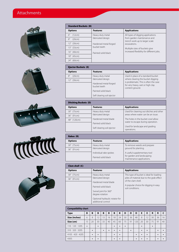## Attachments











| <b>Standard Buckets (B)</b> |                                                              |                                                               |  |  |
|-----------------------------|--------------------------------------------------------------|---------------------------------------------------------------|--|--|
| <b>Options</b>              | <b>Features</b>                                              | <b>Applications</b>                                           |  |  |
| 6''<br>(12cm)               | Heavy duty metal                                             | All types of digging applications                             |  |  |
| 8''<br>(20cm)               | fabricated design                                            | from garden maintenance and<br>trench work up to larger scale |  |  |
| 12" (30cm)                  | Hardened metal-forged<br>bucket teeth<br>Painted solid black | excavations.                                                  |  |  |
| 13" (33cm)                  |                                                              | Multiple sizes of buckets give                                |  |  |
| 16" (40cm)                  |                                                              | increased flexibility for different jobs.                     |  |  |
| 18" (45cm)                  |                                                              |                                                               |  |  |
| 24" (60cm)                  |                                                              |                                                               |  |  |

| <b>Ejector Buckets (E)</b> |                                       |                                                                             |  |
|----------------------------|---------------------------------------|-----------------------------------------------------------------------------|--|
| <b>Options</b>             | <b>Features</b>                       | <b>Applications</b>                                                         |  |
| 8''<br>(20cm)              | Heavy duty metal                      | Used in place of a standard bucket                                          |  |
| 12" (30cm)                 | fabricated design                     | where clearing the bucket digging<br>is problematic. This is often the case |  |
|                            | Hardened metal-forged<br>bucket teeth | for very heavy, wet or high clay<br>content ground.                         |  |
|                            | Painted solid black                   |                                                                             |  |
|                            | Self clearing soil ejector            |                                                                             |  |

| <b>Ditching Buckets (D)</b> |                            |                                               |  |  |  |  |  |  |  |  |
|-----------------------------|----------------------------|-----------------------------------------------|--|--|--|--|--|--|--|--|
| <b>Options</b>              | <b>Features</b>            | <b>Applications</b>                           |  |  |  |  |  |  |  |  |
| 30" (75cm)                  | Heavy duty metal           | Used for cleaning out ditches and other       |  |  |  |  |  |  |  |  |
| 36" (91cm)                  | fabricated design          | areas where water can be an issue.            |  |  |  |  |  |  |  |  |
| 48" (120cm)                 | Hardened metal blade       | The holes in the bucket cowl allow            |  |  |  |  |  |  |  |  |
|                             | Painted solid black        | water to escape during operation.             |  |  |  |  |  |  |  |  |
|                             | Self clearing soil ejector | Used for landscape and grading<br>operations. |  |  |  |  |  |  |  |  |

| Rakes (R)      |                        |                                                         |  |  |  |  |  |  |
|----------------|------------------------|---------------------------------------------------------|--|--|--|--|--|--|
| <b>Options</b> | <b>Features</b>        | <b>Applications</b>                                     |  |  |  |  |  |  |
| 30" (75cm)     | Heavy duty metal       | To remove weeds and prepare                             |  |  |  |  |  |  |
| 36" (91cm)     | fabricated design      | ground for planting.                                    |  |  |  |  |  |  |
|                | Individual rake spokes | A useful supplementary tool                             |  |  |  |  |  |  |
|                | Painted solid black    | for garden and landscaping<br>maintenance applications. |  |  |  |  |  |  |

| Clam shell (C) |                                                      |                                                                |  |  |  |  |
|----------------|------------------------------------------------------|----------------------------------------------------------------|--|--|--|--|
| <b>Options</b> | <b>Features</b>                                      | <b>Applications</b>                                            |  |  |  |  |
| 30" (75cm)     | Heavy duty metal                                     | This type of bucket is ideal for loading                       |  |  |  |  |
| 36" (91cm)     | fabricated design                                    | piles of material due to the grab effect<br>of the clam shell. |  |  |  |  |
|                | Hardened metal blade                                 |                                                                |  |  |  |  |
|                | Painted solid black                                  | A popular choice for digging in easy<br>soil conditions.       |  |  |  |  |
|                | Swivel joint for 360°                                |                                                                |  |  |  |  |
|                | degree rotation                                      |                                                                |  |  |  |  |
|                | Optional hydraulic rotator for<br>additional control |                                                                |  |  |  |  |

#### **Compatibility chart**

| <b>Type</b>         | B         | B         | B         | B         | B         | B         | B         | D         | D         | D         | E         | E         | $\mathbf R$ | R         |    |
|---------------------|-----------|-----------|-----------|-----------|-----------|-----------|-----------|-----------|-----------|-----------|-----------|-----------|-------------|-----------|----|
| Size (inches)       | 6         | 8         | 12        | 13        | 16        | 18        | 24        | 30        | 36        | 48        | 8         | 12        | 30          | 36        | 16 |
| Size (cm)           | 15        | 20        | 30        | 33        | 40        | 45        | 60        | 75        | 91        | 120       | 20        | 30        | 75          | 91        | 40 |
| 120S<br>120<br>110  | $\bullet$ |           | $\bullet$ |           |           | $\bullet$ | $\bullet$ | $\bullet$ |           |           | $\bullet$ |           | $\bullet$   |           |    |
| 320 320S<br>310     |           | $\bullet$ |           | $\bullet$ | $\bullet$ | $\bullet$ | $\bullet$ |           | $\bullet$ |           | $\bullet$ | $\bullet$ |             | $\bullet$ |    |
| 410S<br>420S<br>420 |           | $\bullet$ | $\bullet$ |           |           | $\bullet$ | $\bullet$ |           |           | $\bullet$ | $\bullet$ | $\bullet$ |             | $\bullet$ |    |
| 430S                |           | $\bullet$ | $\bullet$ |           |           | $\bullet$ | $\bullet$ |           |           | $\bullet$ | $\bullet$ | $\bullet$ |             | $\bullet$ |    |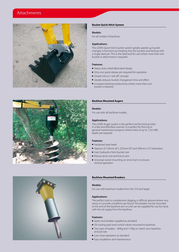### Attachments



#### **Bucket Quick Hitch System**

#### **Models:**

For all models of backhoe.

#### **Applications:**

The LEWIS Quick hitch bucket system greatly speeds up bucket changes. It functions by hooking into the buckets and locking with a single steel pin. This is the ideal tool for use where more than one bucket or attachment is required.

#### **Features:**

- Heavy duty metal fabricated design
- $\blacksquare$  Only one quick release pin required for operation
- Simple 'roll-on / roll-off' concept
- $\blacksquare$  Greatly reduces bucket changeover time and effort
- $\blacksquare$  Increases backhoe productivity where more than one bucket is required



#### **Backhoe Mounted Augers**

#### **Models:**

For use with all backhoe models.

#### **Applications:**

The LEWIS Auger system is the perfect tool for boring holes in a fast and effortless manner. It is perfect for fencing or general maintenance projects where holes of up to 1.2m (4ft) depth are required.

#### **Features:**

- $\blacksquare$  Hardened steel teeth
- Options of 150mm (6"), 225mm (9") and 300mm (12") diameters
- $\blacksquare$  Uses hydraulics from bucket ram
- $\blacksquare$  Robust drive unit and link to arm
- $\blacksquare$  Universal swivel mounting on end of arm to ensure vertical operation



#### **Backhoe Mounted Breakers**

#### **Models:**

For use with backhoe models from the 310 and larger.

#### **Applications:**

The perfect tool to complement digging in difficult ground where very stony or concrete conditions are found. The breaker can be mounted to the end of the backhoe arm or a kit can be supplied for use by hand, with the oil supply from the backhoe.

#### **Features:**

- Spare rock breaker supplied as standard
- $\blacksquare$  Oil cooling pack and control valves mounted to backhoe
- $\blacksquare$  Two sizes of beaker 80Kg and 110Kg to match your backhoe and job size
- Low noise operation as standard
- $\blacksquare$  Easy installation and maintenance